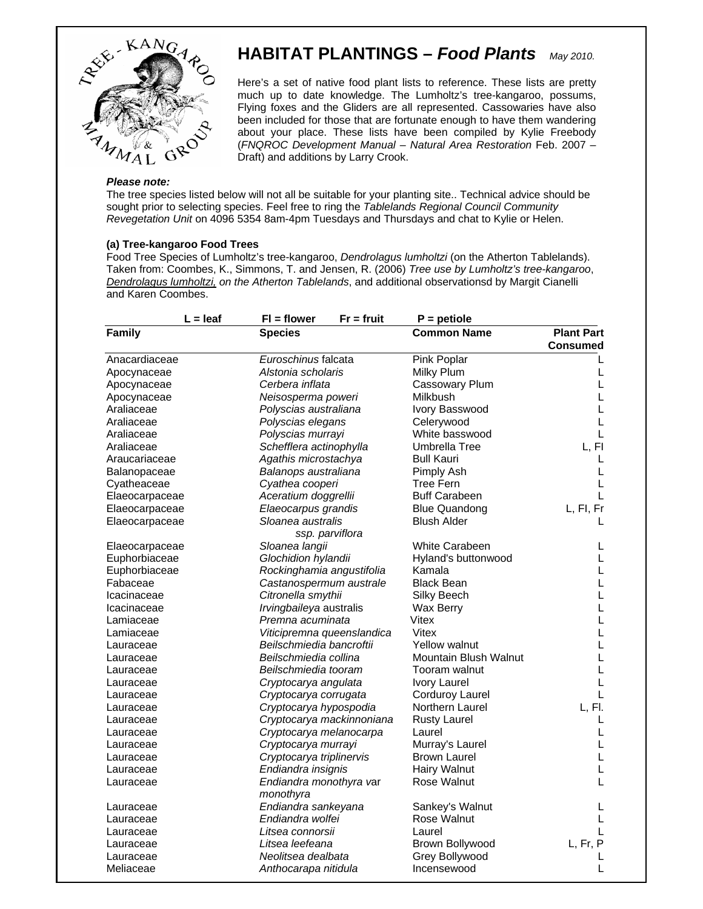

# **HABITAT PLANTINGS –** *Food Plants May 2010.*

Here's a set of native food plant lists to reference. These lists are pretty much up to date knowledge. The Lumholtz's tree-kangaroo, possums, Flying foxes and the Gliders are all represented. Cassowaries have also been included for those that are fortunate enough to have them wandering about your place. These lists have been compiled by Kylie Freebody (*FNQROC Development Manual – Natural Area Restoration* Feb. 2007 – Draft) and additions by Larry Crook.

#### *Please note:*

The tree species listed below will not all be suitable for your planting site.. Technical advice should be sought prior to selecting species. Feel free to ring the *Tablelands Regional Council Community Revegetation Unit* on 4096 5354 8am-4pm Tuesdays and Thursdays and chat to Kylie or Helen.

#### **(a) Tree-kangaroo Food Trees**

Food Tree Species of Lumholtz's tree-kangaroo, *Dendrolagus lumholtzi* (on the Atherton Tablelands). Taken from: Coombes, K., Simmons, T. and Jensen, R. (2006) *Tree use by Lumholtz's tree-kangaroo*, *Dendrolagus lumholtzi, on the Atherton Tablelands*, and additional observationsd by Margit Cianelli and Karen Coombes.

| $L =$ leaf     | $FI = flower$<br>$Fr = fruit$ | $P =$ petiole          |                   |
|----------------|-------------------------------|------------------------|-------------------|
| Family         | <b>Species</b>                | <b>Common Name</b>     | <b>Plant Part</b> |
|                |                               |                        | <b>Consumed</b>   |
| Anacardiaceae  | Euroschinus falcata           | Pink Poplar            |                   |
| Apocynaceae    | Alstonia scholaris            | Milky Plum             | L                 |
| Apocynaceae    | Cerbera inflata               | Cassowary Plum         | L                 |
| Apocynaceae    | Neisosperma poweri            | Milkbush               | L                 |
| Araliaceae     | Polyscias australiana         | Ivory Basswood         | L                 |
| Araliaceae     | Polyscias elegans             | Celerywood             | L                 |
| Araliaceae     | Polyscias murrayi             | White basswood         | L                 |
| Araliaceae     | Schefflera actinophylla       | Umbrella Tree          | L, FI             |
| Araucariaceae  | Agathis microstachya          | <b>Bull Kauri</b>      | L                 |
| Balanopaceae   | Balanops australiana          | Pimply Ash             | L                 |
| Cyatheaceae    | Cyathea cooperi               | <b>Tree Fern</b>       | L                 |
| Elaeocarpaceae | Aceratium doggrellii          | <b>Buff Carabeen</b>   | L                 |
| Elaeocarpaceae | Elaeocarpus grandis           | <b>Blue Quandong</b>   | L, FI, Fr         |
| Elaeocarpaceae | Sloanea australis             | <b>Blush Alder</b>     | L                 |
|                | ssp. parviflora               |                        |                   |
| Elaeocarpaceae | Sloanea langii                | <b>White Carabeen</b>  | L                 |
| Euphorbiaceae  | Glochidion hylandii           | Hyland's buttonwood    | L                 |
| Euphorbiaceae  | Rockinghamia angustifolia     | Kamala                 | L                 |
| Fabaceae       | Castanospermum australe       | <b>Black Bean</b>      | L                 |
| Icacinaceae    | Citronella smythii            | Silky Beech            | Г                 |
| Icacinaceae    | Irvingbaileya australis       | Wax Berry              | L                 |
| Lamiaceae      | Premna acuminata              | Vitex                  | L                 |
| Lamiaceae      | Viticipremna queenslandica    | Vitex                  | L                 |
| Lauraceae      | Beilschmiedia bancroftii      | <b>Yellow walnut</b>   | L                 |
| Lauraceae      | Beilschmiedia collina         | Mountain Blush Walnut  | L                 |
| Lauraceae      | Beilschmiedia tooram          | Tooram walnut          | L                 |
| Lauraceae      | Cryptocarya angulata          | Ivory Laurel           | L                 |
| Lauraceae      | Cryptocarya corrugata         | <b>Corduroy Laurel</b> | L                 |
| Lauraceae      | Cryptocarya hypospodia        | <b>Northern Laurel</b> | L, Fl.            |
| Lauraceae      | Cryptocarya mackinnoniana     | <b>Rusty Laurel</b>    | L                 |
| Lauraceae      | Cryptocarya melanocarpa       | Laurel                 | L                 |
| Lauraceae      | Cryptocarya murrayi           | Murray's Laurel        | L                 |
| Lauraceae      | Cryptocarya triplinervis      | <b>Brown Laurel</b>    | L                 |
| Lauraceae      | Endiandra insignis            | Hairy Walnut           | L                 |
| Lauraceae      | Endiandra monothyra var       | Rose Walnut            | L                 |
|                | monothyra                     |                        |                   |
| Lauraceae      | Endiandra sankeyana           | Sankey's Walnut        | L                 |
| Lauraceae      | Endiandra wolfei              | Rose Walnut            | L                 |
| Lauraceae      | Litsea connorsii              | Laurel                 | L                 |
| Lauraceae      | Litsea leefeana               | Brown Bollywood        | L, Fr, P          |
| Lauraceae      | Neolitsea dealbata            | Grey Bollywood         | L                 |
| Meliaceae      | Anthocarapa nitidula          | Incensewood            | L                 |
|                |                               |                        |                   |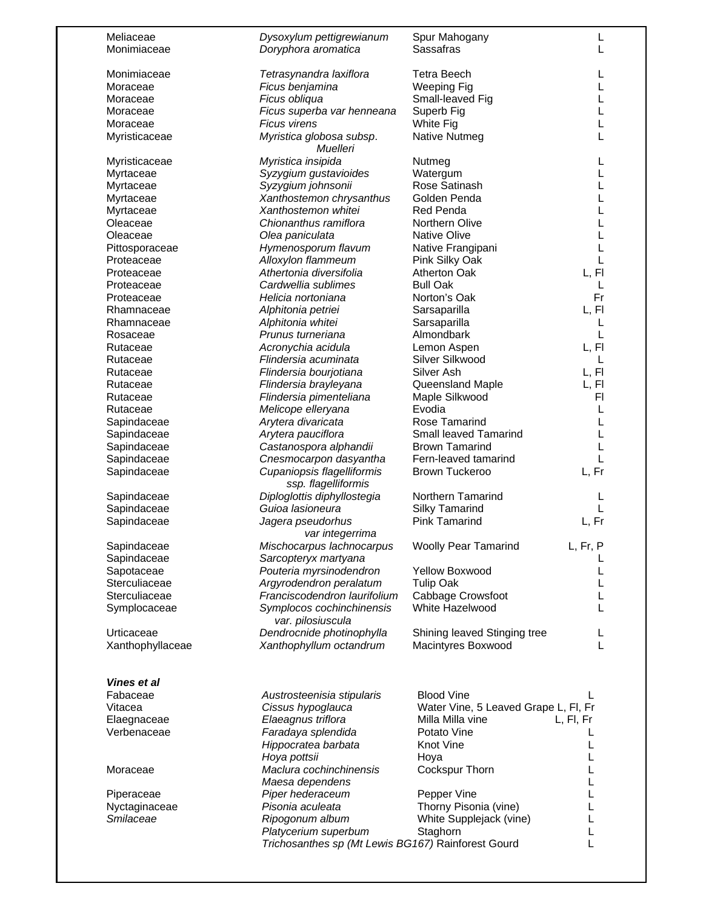| Meliaceae<br>Monimiaceae    | Dysoxylum pettigrewianum<br>Doryphora aromatica   | Spur Mahogany<br>Sassafras           | L         |
|-----------------------------|---------------------------------------------------|--------------------------------------|-----------|
|                             |                                                   |                                      |           |
| Monimiaceae                 | Tetrasynandra laxiflora                           | <b>Tetra Beech</b>                   | L         |
| Moraceae                    | Ficus benjamina                                   | <b>Weeping Fig</b>                   |           |
| Moraceae                    | Ficus obliqua                                     | Small-leaved Fig                     |           |
| Moraceae                    | Ficus superba var henneana                        | Superb Fig                           |           |
|                             |                                                   |                                      |           |
| Moraceae                    | Ficus virens                                      | White Fig                            |           |
| Myristicaceae               | Myristica globosa subsp.<br>Muelleri              | Native Nutmeg                        |           |
| Myristicaceae               | Myristica insipida                                | Nutmeg                               |           |
| Myrtaceae                   | Syzygium gustavioides                             | Watergum                             |           |
| Myrtaceae                   | Syzygium johnsonii                                | Rose Satinash                        |           |
| Myrtaceae                   | Xanthostemon chrysanthus                          | Golden Penda                         |           |
| Myrtaceae                   | Xanthostemon whitei                               | Red Penda                            |           |
|                             |                                                   |                                      |           |
| Oleaceae                    | Chionanthus ramiflora                             | Northern Olive                       |           |
| Oleaceae                    | Olea paniculata                                   | <b>Native Olive</b>                  | L         |
| Pittosporaceae              | Hymenosporum flavum                               | Native Frangipani                    | L         |
| Proteaceae                  | Alloxylon flammeum                                | Pink Silky Oak                       | L         |
| Proteaceae                  | Athertonia diversifolia                           | <b>Atherton Oak</b>                  | L, FI     |
| Proteaceae                  | Cardwellia sublimes                               | <b>Bull Oak</b>                      | L         |
| Proteaceae                  | Helicia nortoniana                                | Norton's Oak                         | Fr        |
|                             |                                                   |                                      | L, FI     |
| Rhamnaceae                  | Alphitonia petriei                                | Sarsaparilla                         |           |
| Rhamnaceae                  | Alphitonia whitei                                 | Sarsaparilla                         | L         |
| Rosaceae                    | Prunus turneriana                                 | Almondbark                           | L         |
| Rutaceae                    | Acronychia acidula                                | Lemon Aspen                          | L, FI     |
| Rutaceae                    | Flindersia acuminata                              | Silver Silkwood                      | L         |
| Rutaceae                    | Flindersia bourjotiana                            | Silver Ash                           | L, Fl     |
| Rutaceae                    | Flindersia brayleyana                             | Queensland Maple                     | L, FI     |
| Rutaceae                    | Flindersia pimenteliana                           | Maple Silkwood                       | FI        |
| Rutaceae                    |                                                   | Evodia                               | L         |
|                             | Melicope elleryana                                |                                      |           |
| Sapindaceae                 | Arytera divaricata                                | Rose Tamarind                        | L         |
| Sapindaceae                 | Arytera pauciflora                                | Small leaved Tamarind                | L         |
| Sapindaceae                 | Castanospora alphandii                            | <b>Brown Tamarind</b>                |           |
| Sapindaceae                 | Cnesmocarpon dasyantha                            | Fern-leaved tamarind                 |           |
| Sapindaceae                 | Cupaniopsis flagelliformis<br>ssp. flagelliformis | Brown Tuckeroo                       | L, Fr     |
| Sapindaceae                 | Diploglottis diphyllostegia                       | Northern Tamarind                    | L         |
| Sapindaceae                 | Guioa lasioneura                                  | <b>Silky Tamarind</b>                | L         |
| Sapindaceae                 | Jagera pseudorhus                                 | <b>Pink Tamarind</b>                 | L, Fr     |
|                             | var integerrima                                   |                                      |           |
| Sapindaceae                 | Mischocarpus lachnocarpus                         | <b>Woolly Pear Tamarind</b>          | L, Fr, P  |
| Sapindaceae                 | Sarcopteryx martyana                              |                                      |           |
| Sapotaceae                  | Pouteria myrsinodendron                           | Yellow Boxwood                       |           |
| Sterculiaceae               | Argyrodendron peralatum                           | <b>Tulip Oak</b>                     |           |
| Sterculiaceae               | Franciscodendron laurifolium                      | Cabbage Crowsfoot                    |           |
| Symplocaceae                | Symplocos cochinchinensis<br>var. pilosiuscula    | White Hazelwood                      |           |
| Urticaceae                  | Dendrocnide photinophylla                         | Shining leaved Stinging tree         |           |
| Xanthophyllaceae            | Xanthophyllum octandrum                           | Macintyres Boxwood                   |           |
|                             |                                                   |                                      |           |
| Vines et al                 |                                                   |                                      |           |
| Fabaceae                    | Austrosteenisia stipularis                        | <b>Blood Vine</b>                    |           |
| Vitacea                     | Cissus hypoglauca                                 | Water Vine, 5 Leaved Grape L, FI, Fr |           |
| Elaegnaceae                 | Elaeagnus triflora                                | Milla Milla vine                     | L, Fl, Fr |
| Verbenaceae                 | Faradaya splendida                                | Potato Vine                          | L         |
|                             | Hippocratea barbata                               | <b>Knot Vine</b>                     | L         |
|                             | Hoya pottsii                                      | Hoya                                 |           |
| Moraceae                    | Maclura cochinchinensis                           | Cockspur Thorn                       | L         |
|                             | Maesa dependens                                   |                                      |           |
|                             |                                                   |                                      | L         |
|                             |                                                   |                                      |           |
|                             | Piper hederaceum                                  | Pepper Vine                          | L         |
| Piperaceae<br>Nyctaginaceae | Pisonia aculeata                                  | Thorny Pisonia (vine)                | L         |
|                             | Ripogonum album                                   | White Supplejack (vine)              |           |
| Smilaceae                   | Platycerium superbum                              | Staghorn                             | L         |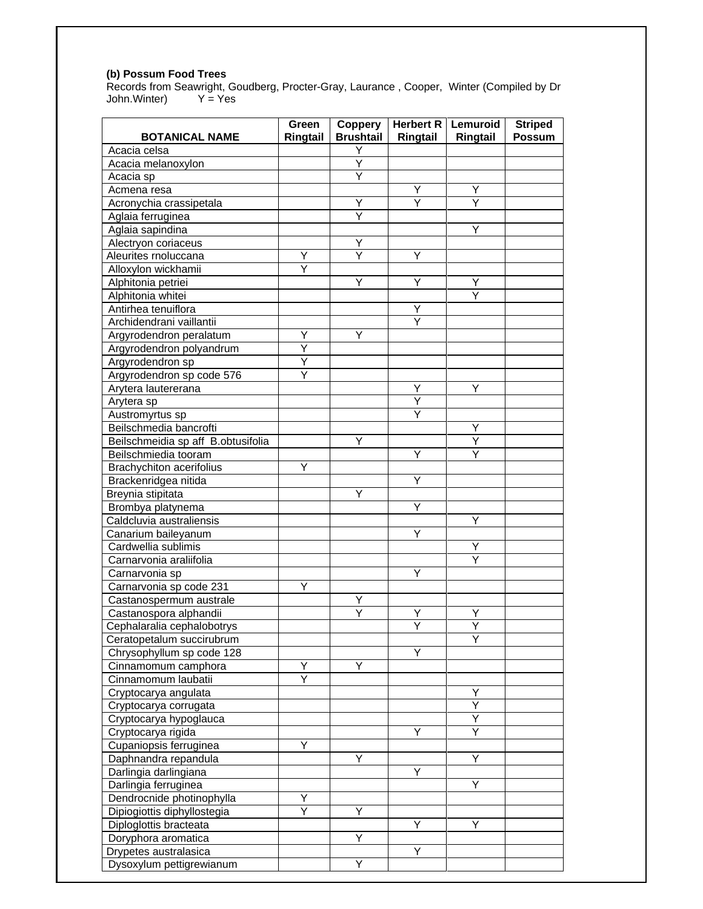#### **(b) Possum Food Trees**

Records from Seawright, Goudberg, Procter-Gray, Laurance , Cooper, Winter (Compiled by Dr John.Winter) Y = Yes

| <b>BOTANICAL NAME</b>              | Green<br>Ringtail | Coppery<br><b>Brushtail</b> | Ringtail                | Herbert R   Lemuroid  <br>Ringtail | <b>Striped</b><br><b>Possum</b> |
|------------------------------------|-------------------|-----------------------------|-------------------------|------------------------------------|---------------------------------|
| Acacia celsa                       |                   | Y                           |                         |                                    |                                 |
| Acacia melanoxylon                 |                   | Y                           |                         |                                    |                                 |
| Acacia sp                          |                   | Ÿ                           |                         |                                    |                                 |
| Acmena resa                        |                   |                             | Υ                       | Υ                                  |                                 |
| Acronychia crassipetala            |                   | Υ                           | $\overline{\mathsf{Y}}$ | Ÿ                                  |                                 |
| Aglaia ferruginea                  |                   | Y                           |                         |                                    |                                 |
| Aglaia sapindina                   |                   |                             |                         | Υ                                  |                                 |
| Alectryon coriaceus                |                   | Y                           |                         |                                    |                                 |
| Aleurites rnoluccana               | Y                 | Y                           | Υ                       |                                    |                                 |
| Alloxylon wickhamii                | Y                 |                             |                         |                                    |                                 |
| Alphitonia petriei                 |                   | Υ                           | Y                       | Y                                  |                                 |
| Alphitonia whitei                  |                   |                             |                         | Ý                                  |                                 |
| Antirhea tenuiflora                |                   |                             | Y                       |                                    |                                 |
| Archidendrani vaillantii           |                   |                             |                         |                                    |                                 |
| Argyrodendron peralatum            | Y                 | Υ                           |                         |                                    |                                 |
| Argyrodendron polyandrum           | Y                 |                             |                         |                                    |                                 |
| Argyrodendron sp                   | Y                 |                             |                         |                                    |                                 |
| Argyrodendron sp code 576          | Ÿ                 |                             |                         |                                    |                                 |
| Arytera lautererana                |                   |                             | Y                       | Y                                  |                                 |
| Arytera sp                         |                   |                             | Ÿ                       |                                    |                                 |
| Austromyrtus sp                    |                   |                             | Y                       |                                    |                                 |
| Beilschmedia bancrofti             |                   |                             |                         | Y                                  |                                 |
| Beilschmeidia sp aff B.obtusifolia |                   | Y                           |                         | Υ                                  |                                 |
| Beilschmiedia tooram               |                   |                             | Υ                       | Y                                  |                                 |
| <b>Brachychiton acerifolius</b>    | Υ                 |                             |                         |                                    |                                 |
| Brackenridgea nitida               |                   |                             | Υ                       |                                    |                                 |
| Breynia stipitata                  |                   | Υ                           |                         |                                    |                                 |
| Brombya platynema                  |                   |                             | Υ                       |                                    |                                 |
| Caldcluvia australiensis           |                   |                             |                         | Y                                  |                                 |
| Canarium baileyanum                |                   |                             | Υ                       |                                    |                                 |
| Cardwellia sublimis                |                   |                             |                         | Y                                  |                                 |
| Carnarvonia araliifolia            |                   |                             |                         | Ý                                  |                                 |
| Carnarvonia sp                     |                   |                             | Y                       |                                    |                                 |
| Carnarvonia sp code 231            | Ÿ                 |                             |                         |                                    |                                 |
| Castanospermum australe            |                   | Υ                           |                         |                                    |                                 |
| Castanospora alphandii             |                   | Υ                           | Y                       | Y                                  |                                 |
| Cephalaralia cephalobotrys         |                   |                             |                         |                                    |                                 |
| Ceratopetalum succirubrum          |                   |                             |                         | Υ                                  |                                 |
| Chrysophyllum sp code 128          |                   |                             | Υ                       |                                    |                                 |
| Cinnamomum camphora                | Y                 | Y                           |                         |                                    |                                 |
| Cinnamomum laubatii                | Y                 |                             |                         |                                    |                                 |
| Cryptocarya angulata               |                   |                             |                         | Υ                                  |                                 |
| Cryptocarya corrugata              |                   |                             |                         | Ÿ                                  |                                 |
| Cryptocarya hypoglauca             |                   |                             |                         | Υ                                  |                                 |
| Cryptocarya rigida                 |                   |                             | Y                       | Ÿ                                  |                                 |
| Cupaniopsis ferruginea             | Y                 |                             |                         |                                    |                                 |
| Daphnandra repandula               |                   | Υ                           |                         | Υ                                  |                                 |
| Darlingia darlingiana              |                   |                             | Υ                       |                                    |                                 |
| Darlingia ferruginea               |                   |                             |                         | Υ                                  |                                 |
| Dendrocnide photinophylla          | Y                 |                             |                         |                                    |                                 |
| Dipiogiottis diphyllostegia        |                   | Υ                           |                         |                                    |                                 |
| Diploglottis bracteata             |                   |                             | Υ                       | Υ                                  |                                 |
| Doryphora aromatica                |                   | Υ                           |                         |                                    |                                 |
| Drypetes australasica              |                   |                             | Υ                       |                                    |                                 |
| Dysoxylum pettigrewianum           |                   | Υ                           |                         |                                    |                                 |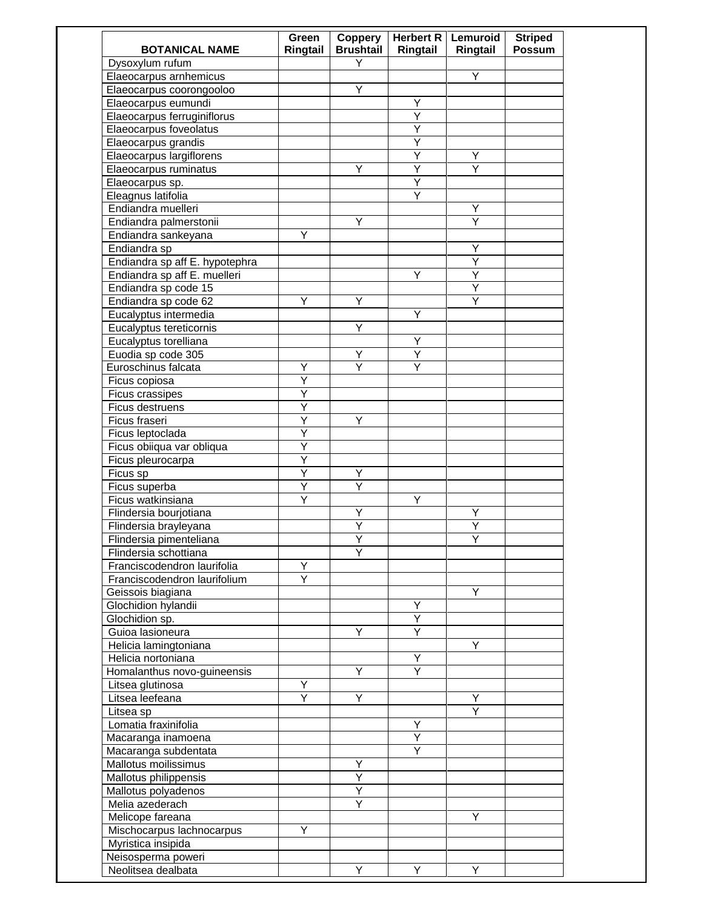| <b>BOTANICAL NAME</b>          | Green<br>Ringtail | Coppery<br><b>Brushtail</b> | Ringtail | Herbert R   Lemuroid<br>Ringtail | <b>Striped</b><br><b>Possum</b> |
|--------------------------------|-------------------|-----------------------------|----------|----------------------------------|---------------------------------|
| Dysoxylum rufum                |                   | Y                           |          |                                  |                                 |
| Elaeocarpus arnhemicus         |                   |                             |          | Υ                                |                                 |
| Elaeocarpus coorongooloo       |                   | Y                           |          |                                  |                                 |
| Elaeocarpus eumundi            |                   |                             | Υ        |                                  |                                 |
| Elaeocarpus ferruginiflorus    |                   |                             | Ÿ        |                                  |                                 |
| Elaeocarpus foveolatus         |                   |                             | Y        |                                  |                                 |
| Elaeocarpus grandis            |                   |                             | Ÿ        |                                  |                                 |
| Elaeocarpus largiflorens       |                   |                             | Y        | Υ                                |                                 |
| Elaeocarpus ruminatus          |                   | Y                           | Y        | Y                                |                                 |
| Elaeocarpus sp.                |                   |                             | Υ        |                                  |                                 |
| Eleagnus latifolia             |                   |                             | Y        |                                  |                                 |
| Endiandra muelleri             |                   |                             |          | Y                                |                                 |
| Endiandra palmerstonii         |                   | Υ                           |          | Υ                                |                                 |
| Endiandra sankeyana            | Y                 |                             |          |                                  |                                 |
| Endiandra sp                   |                   |                             |          | Υ                                |                                 |
| Endiandra sp aff E. hypotephra |                   |                             |          | Ÿ                                |                                 |
| Endiandra sp aff E. muelleri   |                   |                             | Y        | Ÿ                                |                                 |
| Endiandra sp code 15           |                   |                             |          | Ÿ                                |                                 |
| Endiandra sp code 62           | Y                 | Y                           |          | Ÿ                                |                                 |
| Eucalyptus intermedia          |                   |                             | Y        |                                  |                                 |
| Eucalyptus tereticornis        |                   | Υ                           |          |                                  |                                 |
| Eucalyptus torelliana          |                   |                             | Υ        |                                  |                                 |
| Euodia sp code 305             |                   | Y                           | Y        |                                  |                                 |
| Euroschinus falcata            | Y                 | Y                           | Y        |                                  |                                 |
| Ficus copiosa                  | Υ                 |                             |          |                                  |                                 |
| Ficus crassipes                | Y                 |                             |          |                                  |                                 |
| Ficus destruens                | Ÿ                 |                             |          |                                  |                                 |
| Ficus fraseri                  | Ÿ                 | Y                           |          |                                  |                                 |
| Ficus leptoclada               | Ÿ                 |                             |          |                                  |                                 |
| Ficus obiiqua var obliqua      | Ÿ                 |                             |          |                                  |                                 |
| Ficus pleurocarpa              | Ÿ                 |                             |          |                                  |                                 |
| Ficus sp                       | Ÿ                 | Υ                           |          |                                  |                                 |
| Ficus superba                  | $\overline{Y}$    | $\overline{Y}$              |          |                                  |                                 |
| Ficus watkinsiana              | Y                 |                             | Y        |                                  |                                 |
| Flindersia bourjotiana         |                   | Υ                           |          | Y                                |                                 |
| Flindersia brayleyana          |                   | Υ                           |          | Υ                                |                                 |
| Flindersia pimenteliana        |                   | Υ                           |          | Υ                                |                                 |
| Flindersia schottiana          |                   | Y                           |          |                                  |                                 |
| Franciscodendron laurifolia    | Υ                 |                             |          |                                  |                                 |
| Franciscodendron laurifolium   | Y                 |                             |          |                                  |                                 |
| Geissois biagiana              |                   |                             |          | Y                                |                                 |
| Glochidion hylandii            |                   |                             | Υ        |                                  |                                 |
| Glochidion sp.                 |                   |                             | Υ        |                                  |                                 |
| Guioa lasioneura               |                   | Y                           | Ÿ        |                                  |                                 |
| Helicia lamingtoniana          |                   |                             |          | Y                                |                                 |
| Helicia nortoniana             |                   |                             | Y        |                                  |                                 |
| Homalanthus novo-guineensis    |                   | Y                           | Y        |                                  |                                 |
| Litsea glutinosa               | Y                 |                             |          |                                  |                                 |
| Litsea leefeana                | Υ                 | Y                           |          | Υ                                |                                 |
| Litsea sp                      |                   |                             |          | Y                                |                                 |
| Lomatia fraxinifolia           |                   |                             | Y        |                                  |                                 |
| Macaranga inamoena             |                   |                             | Ÿ        |                                  |                                 |
| Macaranga subdentata           |                   |                             | Ÿ        |                                  |                                 |
| Mallotus moilissimus           |                   | Υ                           |          |                                  |                                 |
| Mallotus philippensis          |                   | Ÿ                           |          |                                  |                                 |
|                                |                   | Υ                           |          |                                  |                                 |
| Mallotus polyadenos            |                   | $\overline{Y}$              |          |                                  |                                 |
| Melia azederach                |                   |                             |          |                                  |                                 |
| Melicope fareana               |                   |                             |          | Y                                |                                 |
| Mischocarpus lachnocarpus      | Y                 |                             |          |                                  |                                 |
| Myristica insipida             |                   |                             |          |                                  |                                 |
| Neisosperma poweri             |                   |                             |          |                                  |                                 |
| Neolitsea dealbata             |                   | Y                           | Y        | Y                                |                                 |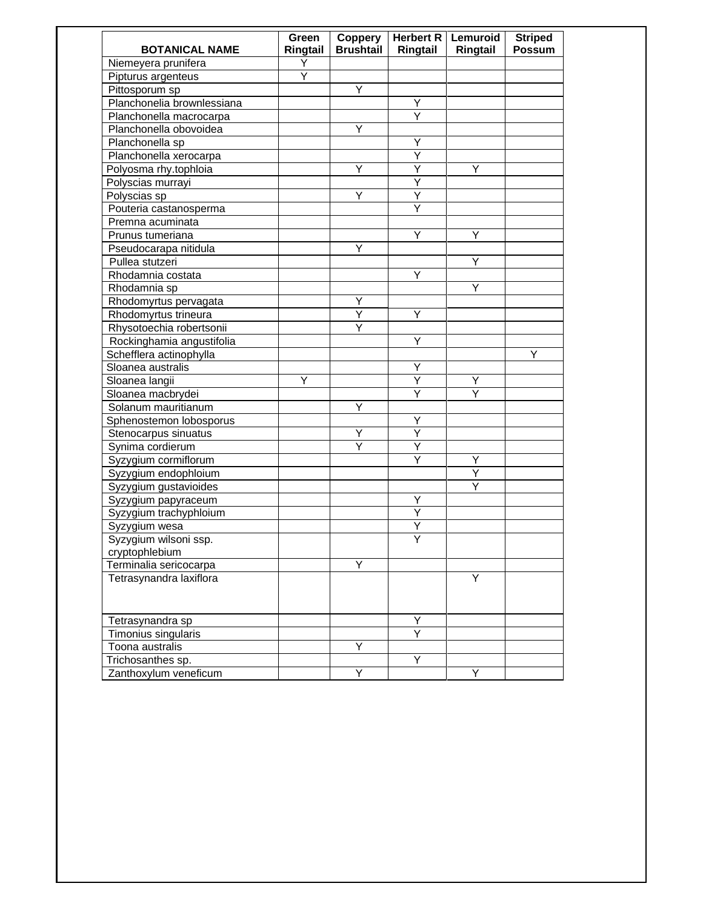| <b>BOTANICAL NAME</b>      | Green<br>Ringtail | Coppery<br><b>Brushtail</b> | Herbert R<br>Ringtail   | Lemuroid<br>Ringtail | <b>Striped</b><br><b>Possum</b> |
|----------------------------|-------------------|-----------------------------|-------------------------|----------------------|---------------------------------|
| Niemeyera prunifera        | Υ                 |                             |                         |                      |                                 |
| Pipturus argenteus         | Ÿ                 |                             |                         |                      |                                 |
| Pittosporum sp             |                   | Y                           |                         |                      |                                 |
| Planchonelia brownlessiana |                   |                             | Υ                       |                      |                                 |
| Planchonella macrocarpa    |                   |                             | Y                       |                      |                                 |
| Planchonella obovoidea     |                   | Y                           |                         |                      |                                 |
| Planchonella sp            |                   |                             | Y                       |                      |                                 |
| Planchonella xerocarpa     |                   |                             | Υ                       |                      |                                 |
| Polyosma rhy.tophloia      |                   | Y                           | Υ                       | Y                    |                                 |
| Polyscias murrayi          |                   |                             | Υ                       |                      |                                 |
| Polyscias sp               |                   | Y                           | Υ                       |                      |                                 |
| Pouteria castanosperma     |                   |                             | Ÿ                       |                      |                                 |
| Premna acuminata           |                   |                             |                         |                      |                                 |
| Prunus tumeriana           |                   |                             | Υ                       | Y                    |                                 |
| Pseudocarapa nitidula      |                   | Y                           |                         |                      |                                 |
| Pullea stutzeri            |                   |                             |                         | Y                    |                                 |
| Rhodamnia costata          |                   |                             | Y                       |                      |                                 |
| Rhodamnia sp               |                   |                             |                         | Ÿ                    |                                 |
| Rhodomyrtus pervagata      |                   | Y                           |                         |                      |                                 |
| Rhodomyrtus trineura       |                   | Υ                           | Υ                       |                      |                                 |
| Rhysotoechia robertsonii   |                   | Y                           |                         |                      |                                 |
| Rockinghamia angustifolia  |                   |                             | Y                       |                      |                                 |
| Schefflera actinophylla    |                   |                             |                         |                      | Y                               |
| Sloanea australis          |                   |                             | Υ                       |                      |                                 |
| Sloanea langii             | Υ                 |                             | Y                       | Y                    |                                 |
| Sloanea macbrydei          |                   |                             | $\overline{\mathsf{Y}}$ |                      |                                 |
| Solanum mauritianum        |                   | Υ                           |                         |                      |                                 |
| Sphenostemon lobosporus    |                   |                             | Υ                       |                      |                                 |
| Stenocarpus sinuatus       |                   | Υ                           | $\overline{Y}$          |                      |                                 |
| Synima cordierum           |                   | Y                           | Y                       |                      |                                 |
| Syzygium cormiflorum       |                   |                             | Y                       | Υ                    |                                 |
| Syzygium endophloium       |                   |                             |                         | $\overline{Y}$       |                                 |
| Syzygium gustavioides      |                   |                             |                         | Y                    |                                 |
| Syzygium papyraceum        |                   |                             | Υ                       |                      |                                 |
| Syzygium trachyphloium     |                   |                             | Υ                       |                      |                                 |
| Syzygium wesa              |                   |                             | Υ                       |                      |                                 |
| Syzygium wilsoni ssp.      |                   |                             | $\overline{Y}$          |                      |                                 |
| cryptophlebium             |                   |                             |                         |                      |                                 |
| Terminalia sericocarpa     |                   | Y                           |                         |                      |                                 |
| Tetrasynandra laxiflora    |                   |                             |                         | Y                    |                                 |
|                            |                   |                             |                         |                      |                                 |
| Tetrasynandra sp           |                   |                             | Υ                       |                      |                                 |
| Timonius singularis        |                   |                             | Y                       |                      |                                 |
| Toona australis            |                   | Y                           |                         |                      |                                 |
| Trichosanthes sp.          |                   |                             | Y                       |                      |                                 |
| Zanthoxylum veneficum      |                   | Y                           |                         | Υ                    |                                 |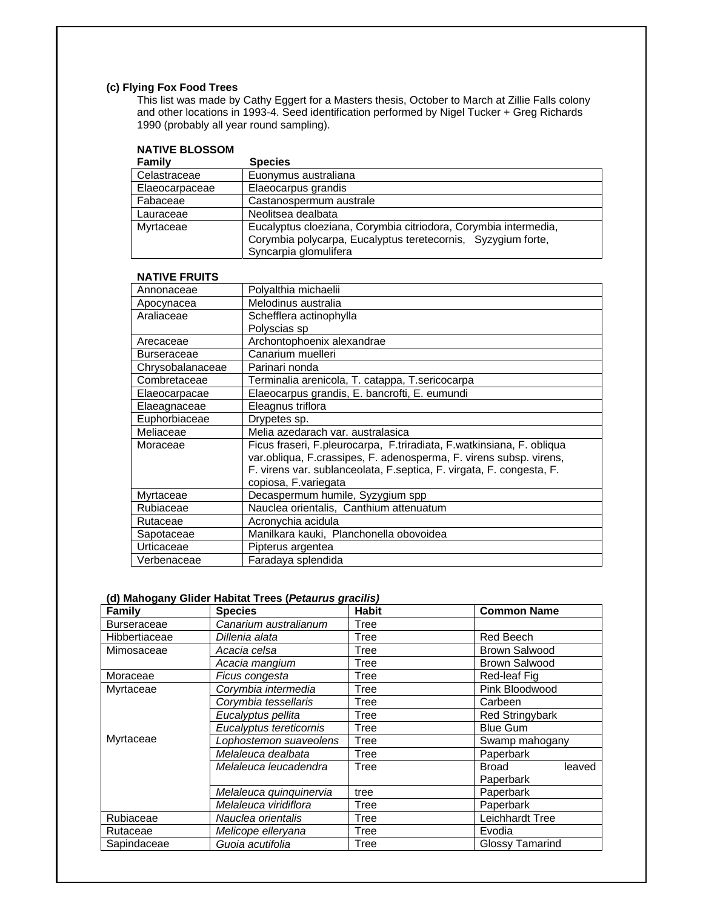# **(c) Flying Fox Food Trees**

This list was made by Cathy Eggert for a Masters thesis, October to March at Zillie Falls colony and other locations in 1993-4. Seed identification performed by Nigel Tucker + Greg Richards 1990 (probably all year round sampling).

# **NATIVE BLOSSOM**

| Family         | <b>Species</b>                                                  |
|----------------|-----------------------------------------------------------------|
| Celastraceae   | Euonymus australiana                                            |
| Elaeocarpaceae | Elaeocarpus grandis                                             |
| Fabaceae       | Castanospermum australe                                         |
| Lauraceae      | Neolitsea dealbata                                              |
| Myrtaceae      | Eucalyptus cloeziana, Corymbia citriodora, Corymbia intermedia, |
|                | Corymbia polycarpa, Eucalyptus teretecornis, Syzygium forte,    |
|                | Syncarpia glomulifera                                           |

## **NATIVE FRUITS**

| Annonaceae         | Polyalthia michaelii                                                  |
|--------------------|-----------------------------------------------------------------------|
| Apocynacea         | Melodinus australia                                                   |
| Araliaceae         | Schefflera actinophylla                                               |
|                    | Polyscias sp                                                          |
| Arecaceae          | Archontophoenix alexandrae                                            |
| <b>Burseraceae</b> | Canarium muelleri                                                     |
| Chrysobalanaceae   | Parinari nonda                                                        |
| Combretaceae       | Terminalia arenicola, T. catappa, T.sericocarpa                       |
| Elaeocarpacae      | Elaeocarpus grandis, E. bancrofti, E. eumundi                         |
| Elaeagnaceae       | Eleagnus triflora                                                     |
| Euphorbiaceae      | Drypetes sp.                                                          |
| Meliaceae          | Melia azedarach var. australasica                                     |
| Moraceae           | Ficus fraseri, F.pleurocarpa, F.triradiata, F.watkinsiana, F. obliqua |
|                    | var.obliqua, F.crassipes, F. adenosperma, F. virens subsp. virens,    |
|                    | F. virens var. sublanceolata, F. septica, F. virgata, F. congesta, F. |
|                    | copiosa, F.variegata                                                  |
| Myrtaceae          | Decaspermum humile, Syzygium spp                                      |
| Rubiaceae          | Nauclea orientalis, Canthium attenuatum                               |
| Rutaceae           | Acronychia acidula                                                    |
| Sapotaceae         | Manilkara kauki, Planchonella obovoidea                               |
| Urticaceae         | Pipterus argentea                                                     |
| Verbenaceae        | Faradaya splendida                                                    |

## **(d) Mahogany Glider Habitat Trees (***Petaurus gracilis)*

| Family             | <b>Species</b>          | <b>Habit</b> | <b>Common Name</b>     |
|--------------------|-------------------------|--------------|------------------------|
| <b>Burseraceae</b> | Canarium australianum   | Tree         |                        |
| Hibbertiaceae      | Dillenia alata          | Tree         | Red Beech              |
| Mimosaceae         | Acacia celsa            | Tree         | Brown Salwood          |
|                    | Acacia mangium          | Tree         | Brown Salwood          |
| Moraceae           | Ficus congesta          | Tree         | Red-leaf Fig           |
| Myrtaceae          | Corymbia intermedia     | Tree         | Pink Bloodwood         |
|                    | Corymbia tessellaris    | Tree         | Carbeen                |
|                    | Eucalyptus pellita      | Tree         | <b>Red Stringybark</b> |
|                    | Eucalyptus tereticornis | Tree         | <b>Blue Gum</b>        |
| Myrtaceae          | Lophostemon suaveolens  | Tree         | Swamp mahogany         |
|                    | Melaleuca dealbata      | Tree         | Paperbark              |
|                    | Melaleuca leucadendra   | Tree         | <b>Broad</b><br>leaved |
|                    |                         |              | Paperbark              |
|                    | Melaleuca quinquinervia | tree         | Paperbark              |
|                    | Melaleuca viridiflora   | Tree         | Paperbark              |
| Rubiaceae          | Nauclea orientalis      | Tree         | Leichhardt Tree        |
| Rutaceae           | Melicope elleryana      | Tree         | Evodia                 |
| Sapindaceae        | Guoia acutifolia        | Tree         | <b>Glossy Tamarind</b> |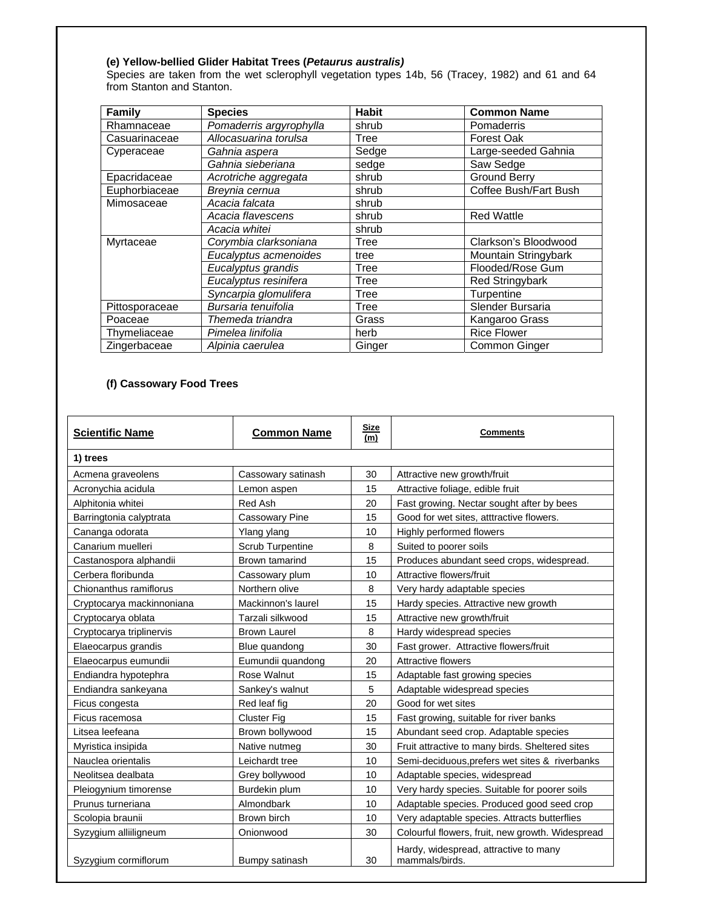## **(e) Yellow-bellied Glider Habitat Trees (***Petaurus australis)*

Species are taken from the wet sclerophyll vegetation types 14b, 56 (Tracey, 1982) and 61 and 64 from Stanton and Stanton.

| <b>Family</b>  | <b>Species</b>          | Habit  | <b>Common Name</b>     |
|----------------|-------------------------|--------|------------------------|
| Rhamnaceae     | Pomaderris argyrophylla | shrub  | Pomaderris             |
| Casuarinaceae  | Allocasuarina torulsa   | Tree   | <b>Forest Oak</b>      |
| Cyperaceae     | Gahnia aspera           | Sedge  | Large-seeded Gahnia    |
|                | Gahnia sieberiana       | sedge  | Saw Sedge              |
| Epacridaceae   | Acrotriche aggregata    | shrub  | <b>Ground Berry</b>    |
| Euphorbiaceae  | Breynia cernua          | shrub  | Coffee Bush/Fart Bush  |
| Mimosaceae     | Acacia falcata          | shrub  |                        |
|                | Acacia flavescens       | shrub  | <b>Red Wattle</b>      |
|                | Acacia whitei           | shrub  |                        |
| Myrtaceae      | Corymbia clarksoniana   | Tree   | Clarkson's Bloodwood   |
|                | Eucalyptus acmenoides   | tree   | Mountain Stringybark   |
|                | Eucalyptus grandis      | Tree   | Flooded/Rose Gum       |
|                | Eucalyptus resinifera   | Tree   | <b>Red Stringybark</b> |
|                | Syncarpia glomulifera   | Tree   | Turpentine             |
| Pittosporaceae | Bursaria tenuifolia     | Tree   | Slender Bursaria       |
| Poaceae        | Themeda triandra        | Grass  | Kangaroo Grass         |
| Thymeliaceae   | Pimelea linifolia       | herb   | <b>Rice Flower</b>     |
| Zingerbaceae   | Alpinia caerulea        | Ginger | Common Ginger          |

# **(f) Cassowary Food Trees**

| <b>Scientific Name</b>    | <b>Common Name</b>      | <b>Size</b><br>(m) | <b>Comments</b>                                         |
|---------------------------|-------------------------|--------------------|---------------------------------------------------------|
| 1) trees                  |                         |                    |                                                         |
| Acmena graveolens         | Cassowary satinash      | 30                 | Attractive new growth/fruit                             |
| Acronychia acidula        | Lemon aspen             | 15                 | Attractive foliage, edible fruit                        |
| Alphitonia whitei         | Red Ash                 | 20                 | Fast growing. Nectar sought after by bees               |
| Barringtonia calyptrata   | <b>Cassowary Pine</b>   | 15                 | Good for wet sites, atttractive flowers.                |
| Cananga odorata           | Ylang ylang             | 10                 | Highly performed flowers                                |
| Canarium muelleri         | <b>Scrub Turpentine</b> | 8                  | Suited to poorer soils                                  |
| Castanospora alphandii    | Brown tamarind          | 15                 | Produces abundant seed crops, widespread.               |
| Cerbera floribunda        | Cassowary plum          | 10                 | Attractive flowers/fruit                                |
| Chionanthus ramiflorus    | Northern olive          | 8                  | Very hardy adaptable species                            |
| Cryptocarya mackinnoniana | Mackinnon's laurel      | 15                 | Hardy species. Attractive new growth                    |
| Cryptocarya oblata        | Tarzali silkwood        | 15                 | Attractive new growth/fruit                             |
| Cryptocarya triplinervis  | <b>Brown Laurel</b>     | 8                  | Hardy widespread species                                |
| Elaeocarpus grandis       | Blue quandong           | 30                 | Fast grower. Attractive flowers/fruit                   |
| Elaeocarpus eumundii      | Eumundii quandong       | 20                 | Attractive flowers                                      |
| Endiandra hypotephra      | <b>Rose Walnut</b>      | 15                 | Adaptable fast growing species                          |
| Endiandra sankeyana       | Sankey's walnut         | 5                  | Adaptable widespread species                            |
| Ficus congesta            | Red leaf fig            | 20                 | Good for wet sites                                      |
| Ficus racemosa            | <b>Cluster Fig.</b>     | 15                 | Fast growing, suitable for river banks                  |
| Litsea leefeana           | Brown bollywood         | 15                 | Abundant seed crop. Adaptable species                   |
| Myristica insipida        | Native nutmeg           | 30                 | Fruit attractive to many birds. Sheltered sites         |
| Nauclea orientalis        | Leichardt tree          | 10                 | Semi-deciduous, prefers wet sites & riverbanks          |
| Neolitsea dealbata        | Grey bollywood          | 10                 | Adaptable species, widespread                           |
| Pleiogynium timorense     | Burdekin plum           | 10                 | Very hardy species. Suitable for poorer soils           |
| Prunus turneriana         | Almondbark              | 10                 | Adaptable species. Produced good seed crop              |
| Scolopia braunii          | Brown birch             | 10                 | Very adaptable species. Attracts butterflies            |
| Syzygium alliiligneum     | Onionwood               | 30                 | Colourful flowers, fruit, new growth. Widespread        |
| Syzygium cormiflorum      | Bumpy satinash          | 30                 | Hardy, widespread, attractive to many<br>mammals/birds. |